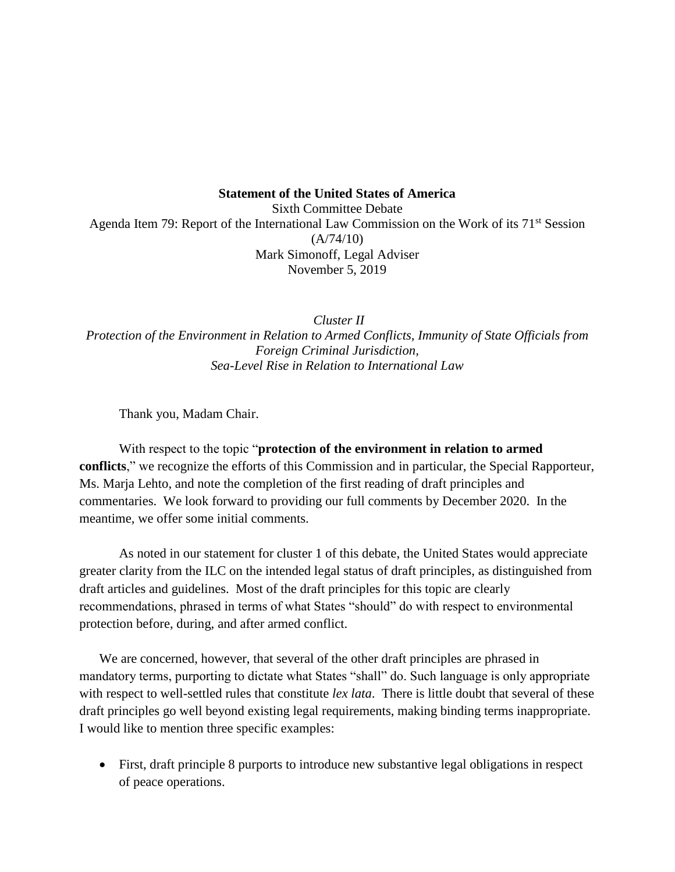## **Statement of the United States of America**

Sixth Committee Debate Agenda Item 79: Report of the International Law Commission on the Work of its 71<sup>st</sup> Session  $(A/74/10)$ Mark Simonoff, Legal Adviser November 5, 2019

*Cluster II Protection of the Environment in Relation to Armed Conflicts, Immunity of State Officials from Foreign Criminal Jurisdiction, Sea-Level Rise in Relation to International Law*

Thank you, Madam Chair.

With respect to the topic "**protection of the environment in relation to armed conflicts**," we recognize the efforts of this Commission and in particular, the Special Rapporteur, Ms. Marja Lehto, and note the completion of the first reading of draft principles and commentaries. We look forward to providing our full comments by December 2020. In the meantime, we offer some initial comments.

As noted in our statement for cluster 1 of this debate, the United States would appreciate greater clarity from the ILC on the intended legal status of draft principles, as distinguished from draft articles and guidelines. Most of the draft principles for this topic are clearly recommendations, phrased in terms of what States "should" do with respect to environmental protection before, during, and after armed conflict.

We are concerned, however, that several of the other draft principles are phrased in mandatory terms, purporting to dictate what States "shall" do. Such language is only appropriate with respect to well-settled rules that constitute *lex lata*. There is little doubt that several of these draft principles go well beyond existing legal requirements, making binding terms inappropriate. I would like to mention three specific examples:

• First, draft principle 8 purports to introduce new substantive legal obligations in respect of peace operations.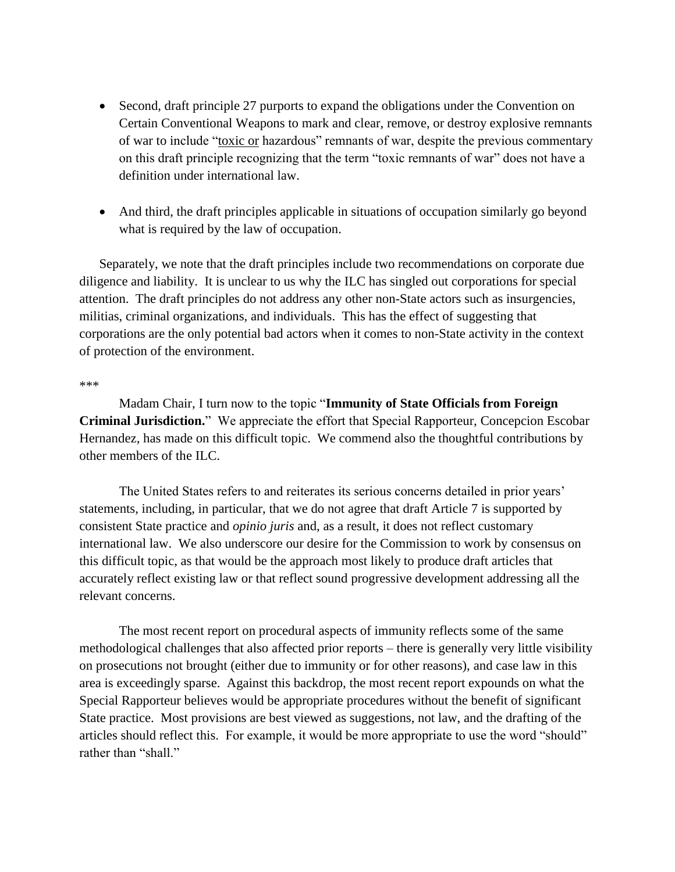- Second, draft principle 27 purports to expand the obligations under the Convention on Certain Conventional Weapons to mark and clear, remove, or destroy explosive remnants of war to include "toxic or hazardous" remnants of war, despite the previous commentary on this draft principle recognizing that the term "toxic remnants of war" does not have a definition under international law.
- And third, the draft principles applicable in situations of occupation similarly go beyond what is required by the law of occupation.

Separately, we note that the draft principles include two recommendations on corporate due diligence and liability. It is unclear to us why the ILC has singled out corporations for special attention. The draft principles do not address any other non-State actors such as insurgencies, militias, criminal organizations, and individuals. This has the effect of suggesting that corporations are the only potential bad actors when it comes to non-State activity in the context of protection of the environment.

## \*\*\*

Madam Chair, I turn now to the topic "**Immunity of State Officials from Foreign Criminal Jurisdiction.**" We appreciate the effort that Special Rapporteur, Concepcion Escobar Hernandez, has made on this difficult topic. We commend also the thoughtful contributions by other members of the ILC.

The United States refers to and reiterates its serious concerns detailed in prior years' statements, including, in particular, that we do not agree that draft Article 7 is supported by consistent State practice and *opinio juris* and, as a result, it does not reflect customary international law. We also underscore our desire for the Commission to work by consensus on this difficult topic, as that would be the approach most likely to produce draft articles that accurately reflect existing law or that reflect sound progressive development addressing all the relevant concerns.

The most recent report on procedural aspects of immunity reflects some of the same methodological challenges that also affected prior reports – there is generally very little visibility on prosecutions not brought (either due to immunity or for other reasons), and case law in this area is exceedingly sparse. Against this backdrop, the most recent report expounds on what the Special Rapporteur believes would be appropriate procedures without the benefit of significant State practice. Most provisions are best viewed as suggestions, not law, and the drafting of the articles should reflect this. For example, it would be more appropriate to use the word "should" rather than "shall."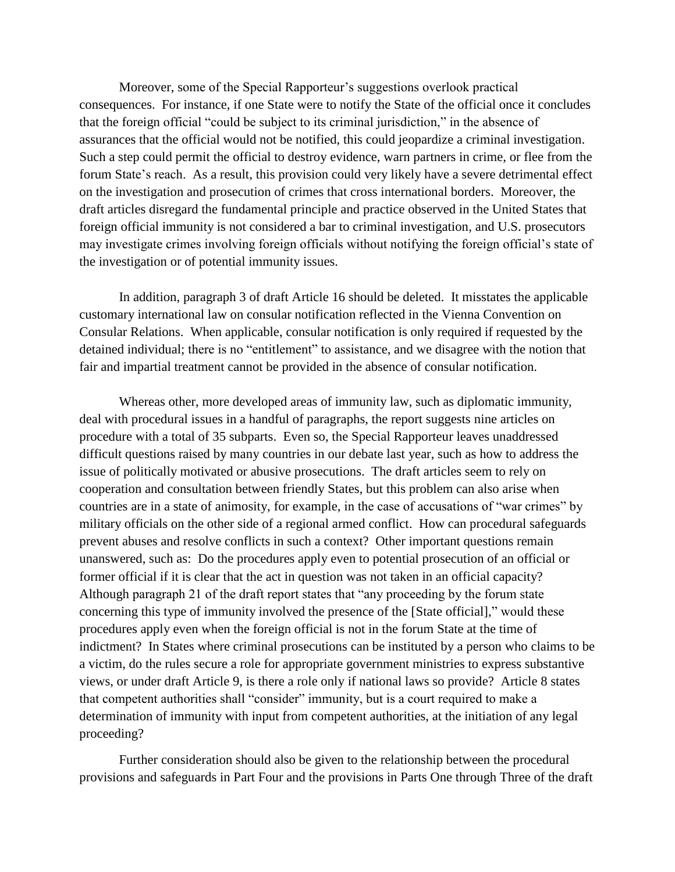Moreover, some of the Special Rapporteur's suggestions overlook practical consequences. For instance, if one State were to notify the State of the official once it concludes that the foreign official "could be subject to its criminal jurisdiction," in the absence of assurances that the official would not be notified, this could jeopardize a criminal investigation. Such a step could permit the official to destroy evidence, warn partners in crime, or flee from the forum State's reach. As a result, this provision could very likely have a severe detrimental effect on the investigation and prosecution of crimes that cross international borders. Moreover, the draft articles disregard the fundamental principle and practice observed in the United States that foreign official immunity is not considered a bar to criminal investigation, and U.S. prosecutors may investigate crimes involving foreign officials without notifying the foreign official's state of the investigation or of potential immunity issues.

In addition, paragraph 3 of draft Article 16 should be deleted. It misstates the applicable customary international law on consular notification reflected in the Vienna Convention on Consular Relations. When applicable, consular notification is only required if requested by the detained individual; there is no "entitlement" to assistance, and we disagree with the notion that fair and impartial treatment cannot be provided in the absence of consular notification.

Whereas other, more developed areas of immunity law, such as diplomatic immunity, deal with procedural issues in a handful of paragraphs, the report suggests nine articles on procedure with a total of 35 subparts. Even so, the Special Rapporteur leaves unaddressed difficult questions raised by many countries in our debate last year, such as how to address the issue of politically motivated or abusive prosecutions. The draft articles seem to rely on cooperation and consultation between friendly States, but this problem can also arise when countries are in a state of animosity, for example, in the case of accusations of "war crimes" by military officials on the other side of a regional armed conflict. How can procedural safeguards prevent abuses and resolve conflicts in such a context? Other important questions remain unanswered, such as: Do the procedures apply even to potential prosecution of an official or former official if it is clear that the act in question was not taken in an official capacity? Although paragraph 21 of the draft report states that "any proceeding by the forum state concerning this type of immunity involved the presence of the [State official]," would these procedures apply even when the foreign official is not in the forum State at the time of indictment? In States where criminal prosecutions can be instituted by a person who claims to be a victim, do the rules secure a role for appropriate government ministries to express substantive views, or under draft Article 9, is there a role only if national laws so provide? Article 8 states that competent authorities shall "consider" immunity, but is a court required to make a determination of immunity with input from competent authorities, at the initiation of any legal proceeding?

Further consideration should also be given to the relationship between the procedural provisions and safeguards in Part Four and the provisions in Parts One through Three of the draft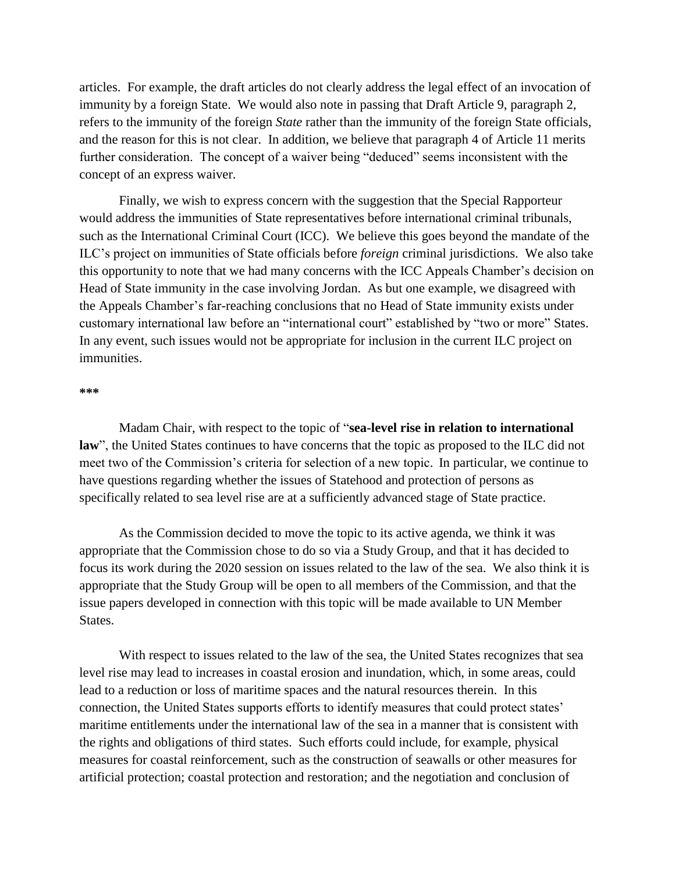articles. For example, the draft articles do not clearly address the legal effect of an invocation of immunity by a foreign State. We would also note in passing that Draft Article 9, paragraph 2, refers to the immunity of the foreign *State* rather than the immunity of the foreign State officials, and the reason for this is not clear. In addition, we believe that paragraph 4 of Article 11 merits further consideration. The concept of a waiver being "deduced" seems inconsistent with the concept of an express waiver.

Finally, we wish to express concern with the suggestion that the Special Rapporteur would address the immunities of State representatives before international criminal tribunals, such as the International Criminal Court (ICC). We believe this goes beyond the mandate of the ILC's project on immunities of State officials before *foreign* criminal jurisdictions. We also take this opportunity to note that we had many concerns with the ICC Appeals Chamber's decision on Head of State immunity in the case involving Jordan. As but one example, we disagreed with the Appeals Chamber's far-reaching conclusions that no Head of State immunity exists under customary international law before an "international court" established by "two or more" States. In any event, such issues would not be appropriate for inclusion in the current ILC project on immunities.

## **\*\*\***

Madam Chair, with respect to the topic of "**sea-level rise in relation to international law**", the United States continues to have concerns that the topic as proposed to the ILC did not meet two of the Commission's criteria for selection of a new topic. In particular, we continue to have questions regarding whether the issues of Statehood and protection of persons as specifically related to sea level rise are at a sufficiently advanced stage of State practice.

As the Commission decided to move the topic to its active agenda, we think it was appropriate that the Commission chose to do so via a Study Group, and that it has decided to focus its work during the 2020 session on issues related to the law of the sea. We also think it is appropriate that the Study Group will be open to all members of the Commission, and that the issue papers developed in connection with this topic will be made available to UN Member States.

With respect to issues related to the law of the sea, the United States recognizes that sea level rise may lead to increases in coastal erosion and inundation, which, in some areas, could lead to a reduction or loss of maritime spaces and the natural resources therein. In this connection, the United States supports efforts to identify measures that could protect states' maritime entitlements under the international law of the sea in a manner that is consistent with the rights and obligations of third states. Such efforts could include, for example, physical measures for coastal reinforcement, such as the construction of seawalls or other measures for artificial protection; coastal protection and restoration; and the negotiation and conclusion of